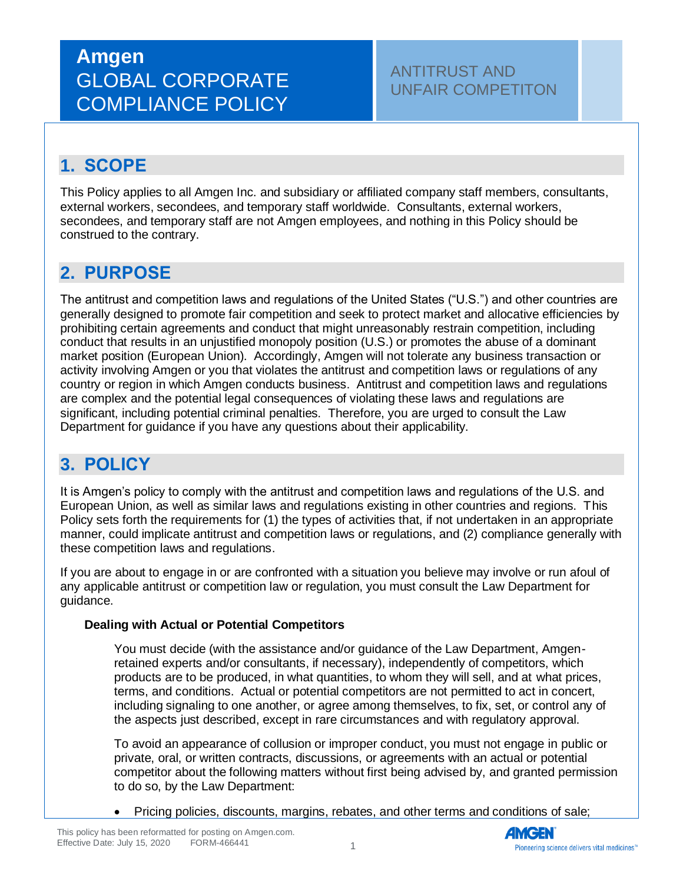# **Amgen** GLOBAL CORPORATE COMPLIANCE POLICY

### ANTITRUST AND UNFAIR COMPETITON

## **1. SCOPE**

This Policy applies to all Amgen Inc. and subsidiary or affiliated company staff members, consultants, external workers, secondees, and temporary staff worldwide. Consultants, external workers, secondees, and temporary staff are not Amgen employees, and nothing in this Policy should be construed to the contrary.

### **2. PURPOSE**

The antitrust and competition laws and regulations of the United States ("U.S.") and other countries are generally designed to promote fair competition and seek to protect market and allocative efficiencies by prohibiting certain agreements and conduct that might unreasonably restrain competition, including conduct that results in an unjustified monopoly position (U.S.) or promotes the abuse of a dominant market position (European Union). Accordingly, Amgen will not tolerate any business transaction or activity involving Amgen or you that violates the antitrust and competition laws or regulations of any country or region in which Amgen conducts business. Antitrust and competition laws and regulations are complex and the potential legal consequences of violating these laws and regulations are significant, including potential criminal penalties. Therefore, you are urged to consult the Law Department for guidance if you have any questions about their applicability.

### **3. POLICY**

It is Amgen's policy to comply with the antitrust and competition laws and regulations of the U.S. and European Union, as well as similar laws and regulations existing in other countries and regions. This Policy sets forth the requirements for (1) the types of activities that, if not undertaken in an appropriate manner, could implicate antitrust and competition laws or regulations, and (2) compliance generally with these competition laws and regulations.

If you are about to engage in or are confronted with a situation you believe may involve or run afoul of any applicable antitrust or competition law or regulation, you must consult the Law Department for guidance.

#### **Dealing with Actual or Potential Competitors**

You must decide (with the assistance and/or guidance of the Law Department, Amgenretained experts and/or consultants, if necessary), independently of competitors, which products are to be produced, in what quantities, to whom they will sell, and at what prices, terms, and conditions. Actual or potential competitors are not permitted to act in concert, including signaling to one another, or agree among themselves, to fix, set, or control any of the aspects just described, except in rare circumstances and with regulatory approval.

To avoid an appearance of collusion or improper conduct, you must not engage in public or private, oral, or written contracts, discussions, or agreements with an actual or potential competitor about the following matters without first being advised by, and granted permission to do so, by the Law Department:

• Pricing policies, discounts, margins, rebates, and other terms and conditions of sale;

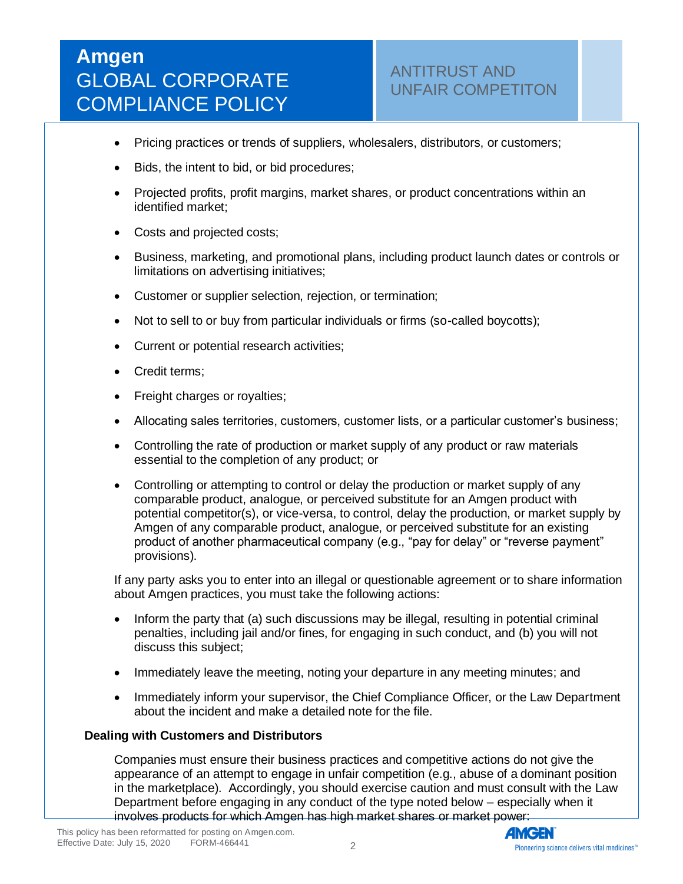# **Amgen** GLOBAL CORPORATE COMPLIANCE POLICY

- Pricing practices or trends of suppliers, wholesalers, distributors, or customers;
- Bids, the intent to bid, or bid procedures;
- Projected profits, profit margins, market shares, or product concentrations within an identified market;
- Costs and projected costs;
- Business, marketing, and promotional plans, including product launch dates or controls or limitations on advertising initiatives;
- Customer or supplier selection, rejection, or termination;
- Not to sell to or buy from particular individuals or firms (so-called boycotts);
- Current or potential research activities;
- Credit terms;
- Freight charges or royalties;
- Allocating sales territories, customers, customer lists, or a particular customer's business;
- Controlling the rate of production or market supply of any product or raw materials essential to the completion of any product; or
- Controlling or attempting to control or delay the production or market supply of any comparable product, analogue, or perceived substitute for an Amgen product with potential competitor(s), or vice-versa, to control, delay the production, or market supply by Amgen of any comparable product, analogue, or perceived substitute for an existing product of another pharmaceutical company (e.g., "pay for delay" or "reverse payment" provisions).

If any party asks you to enter into an illegal or questionable agreement or to share information about Amgen practices, you must take the following actions:

- Inform the party that (a) such discussions may be illegal, resulting in potential criminal penalties, including jail and/or fines, for engaging in such conduct, and (b) you will not discuss this subject;
- Immediately leave the meeting, noting your departure in any meeting minutes; and
- Immediately inform your supervisor, the Chief Compliance Officer, or the Law Department about the incident and make a detailed note for the file.

#### **Dealing with Customers and Distributors**

Companies must ensure their business practices and competitive actions do not give the appearance of an attempt to engage in unfair competition (e.g., abuse of a dominant position in the marketplace). Accordingly, you should exercise caution and must consult with the Law Department before engaging in any conduct of the type noted below – especially when it involves products for which Amgen has high market shares or market power:

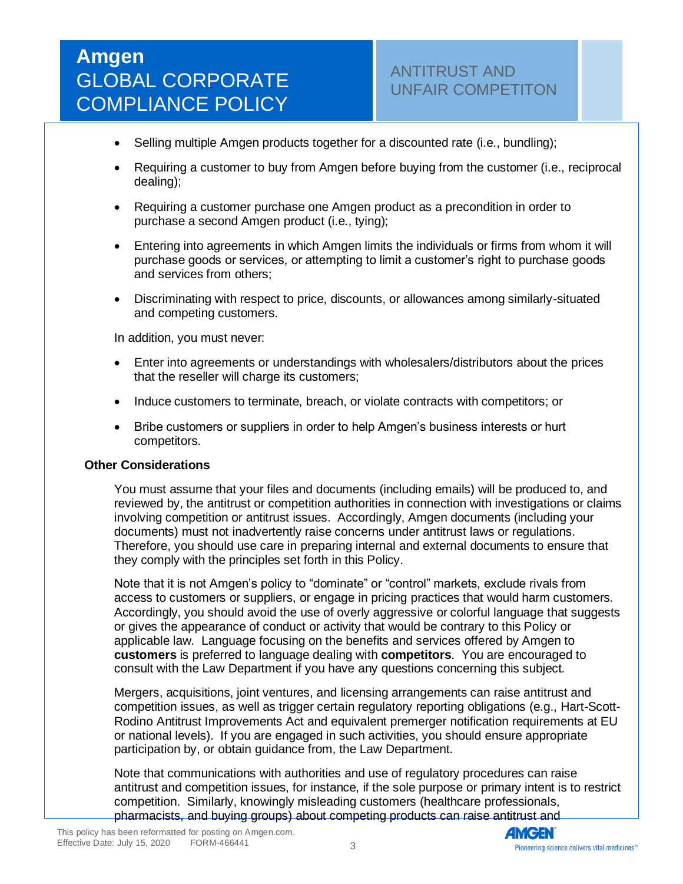- Selling multiple Amgen products together for a discounted rate (i.e., bundling);
- Requiring a customer to buy from Amgen before buying from the customer (i.e., reciprocal dealing);
- Requiring a customer purchase one Amgen product as a precondition in order to purchase a second Amgen product (i.e., tying);
- Entering into agreements in which Amgen limits the individuals or firms from whom it will purchase goods or services, or attempting to limit a customer's right to purchase goods and services from others;
- Discriminating with respect to price, discounts, or allowances among similarly-situated and competing customers.

In addition, you must never:

- Enter into agreements or understandings with wholesalers/distributors about the prices that the reseller will charge its customers;
- Induce customers to terminate, breach, or violate contracts with competitors; or
- Bribe customers or suppliers in order to help Amgen's business interests or hurt competitors.

#### **Other Considerations**

You must assume that your files and documents (including emails) will be produced to, and reviewed by, the antitrust or competition authorities in connection with investigations or claims involving competition or antitrust issues. Accordingly, Amgen documents (including your documents) must not inadvertently raise concerns under antitrust laws or regulations. Therefore, you should use care in preparing internal and external documents to ensure that they comply with the principles set forth in this Policy.

Note that it is not Amgen's policy to "dominate" or "control" markets, exclude rivals from access to customers or suppliers, or engage in pricing practices that would harm customers. Accordingly, you should avoid the use of overly aggressive or colorful language that suggests or gives the appearance of conduct or activity that would be contrary to this Policy or applicable law. Language focusing on the benefits and services offered by Amgen to **customers** is preferred to language dealing with **competitors**. You are encouraged to consult with the Law Department if you have any questions concerning this subject.

Mergers, acquisitions, joint ventures, and licensing arrangements can raise antitrust and competition issues, as well as trigger certain regulatory reporting obligations (e.g., Hart-Scott-Rodino Antitrust Improvements Act and equivalent premerger notification requirements at EU or national levels). If you are engaged in such activities, you should ensure appropriate participation by, or obtain guidance from, the Law Department.

Note that communications with authorities and use of regulatory procedures can raise antitrust and competition issues, for instance, if the sole purpose or primary intent is to restrict competition. Similarly, knowingly misleading customers (healthcare professionals, pharmacists, and buying groups) about competing products can raise antitrust and